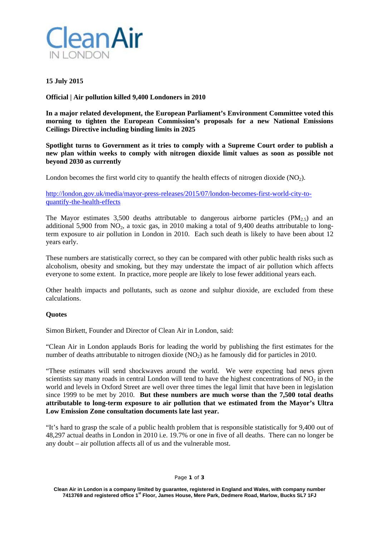

**15 July 2015** 

**Official | Air pollution killed 9,400 Londoners in 2010** 

**In a major related development, the European Parliament's Environment Committee voted this morning to tighten the European Commission's proposals for a new National Emissions Ceilings Directive including binding limits in 2025** 

**Spotlight turns to Government as it tries to comply with a Supreme Court order to publish a new plan within weeks to comply with nitrogen dioxide limit values as soon as possible not beyond 2030 as currently** 

London becomes the first world city to quantify the health effects of nitrogen dioxide  $(NO<sub>2</sub>)$ .

http://london.gov.uk/media/mayor-press-releases/2015/07/london-becomes-first-world-city-toquantify-the-health-effects

The Mayor estimates 3,500 deaths attributable to dangerous airborne particles  $(PM_{2.5})$  and an additional 5,900 from  $NO_2$ , a toxic gas, in 2010 making a total of 9,400 deaths attributable to longterm exposure to air pollution in London in 2010. Each such death is likely to have been about 12 years early.

These numbers are statistically correct, so they can be compared with other public health risks such as alcoholism, obesity and smoking, but they may understate the impact of air pollution which affects everyone to some extent. In practice, more people are likely to lose fewer additional years each.

Other health impacts and pollutants, such as ozone and sulphur dioxide, are excluded from these calculations.

### **Quotes**

Simon Birkett, Founder and Director of Clean Air in London, said:

"Clean Air in London applauds Boris for leading the world by publishing the first estimates for the number of deaths attributable to nitrogen dioxide (NO<sub>2</sub>) as he famously did for particles in 2010.

"These estimates will send shockwaves around the world. We were expecting bad news given scientists say many roads in central London will tend to have the highest concentrations of  $NO<sub>2</sub>$  in the world and levels in Oxford Street are well over three times the legal limit that have been in legislation since 1999 to be met by 2010. **But these numbers are much worse than the 7,500 total deaths attributable to long-term exposure to air pollution that we estimated from the Mayor's Ultra Low Emission Zone consultation documents late last year.**

"It's hard to grasp the scale of a public health problem that is responsible statistically for 9,400 out of 48,297 actual deaths in London in 2010 i.e. 19.7% or one in five of all deaths. There can no longer be any doubt – air pollution affects all of us and the vulnerable most.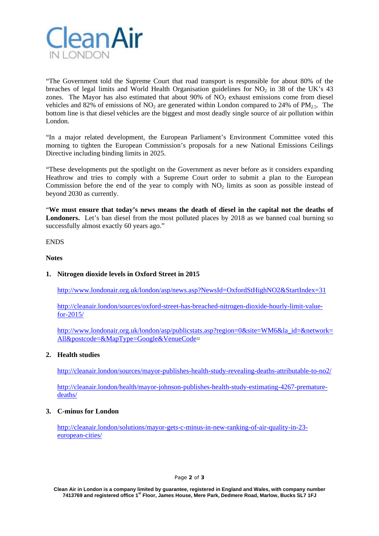

"The Government told the Supreme Court that road transport is responsible for about 80% of the breaches of legal limits and World Health Organisation guidelines for NO<sub>2</sub> in 38 of the UK's 43 zones. The Mayor has also estimated that about  $90\%$  of  $NO<sub>2</sub>$  exhaust emissions come from diesel vehicles and 82% of emissions of NO<sub>2</sub> are generated within London compared to 24% of PM<sub>2.5</sub>. The bottom line is that diesel vehicles are the biggest and most deadly single source of air pollution within London.

"In a major related development, the European Parliament's Environment Committee voted this morning to tighten the European Commission's proposals for a new National Emissions Ceilings Directive including binding limits in 2025.

"These developments put the spotlight on the Government as never before as it considers expanding Heathrow and tries to comply with a Supreme Court order to submit a plan to the European Commission before the end of the year to comply with NO<sub>2</sub> limits as soon as possible instead of beyond 2030 as currently.

"**We must ensure that today's news means the death of diesel in the capital not the deaths of Londoners.** Let's ban diesel from the most polluted places by 2018 as we banned coal burning so successfully almost exactly 60 years ago."

ENDS

#### **Notes**

### **1. Nitrogen dioxide levels in Oxford Street in 2015**

http://www.londonair.org.uk/london/asp/news.asp?NewsId=OxfordStHighNO2&StartIndex=31

http://cleanair.london/sources/oxford-street-has-breached-nitrogen-dioxide-hourly-limit-valuefor-2015/

http://www.londonair.org.uk/london/asp/publicstats.asp?region=0&site=WM6&la\_id=&network= All&postcode=&MapType=Google&VenueCode=

### **2. Health studies**

http://cleanair.london/sources/mayor-publishes-health-study-revealing-deaths-attributable-to-no2/

http://cleanair.london/health/mayor-johnson-publishes-health-study-estimating-4267-prematuredeaths/

### **3. C-minus for London**

http://cleanair.london/solutions/mayor-gets-c-minus-in-new-ranking-of-air-quality-in-23 european-cities/